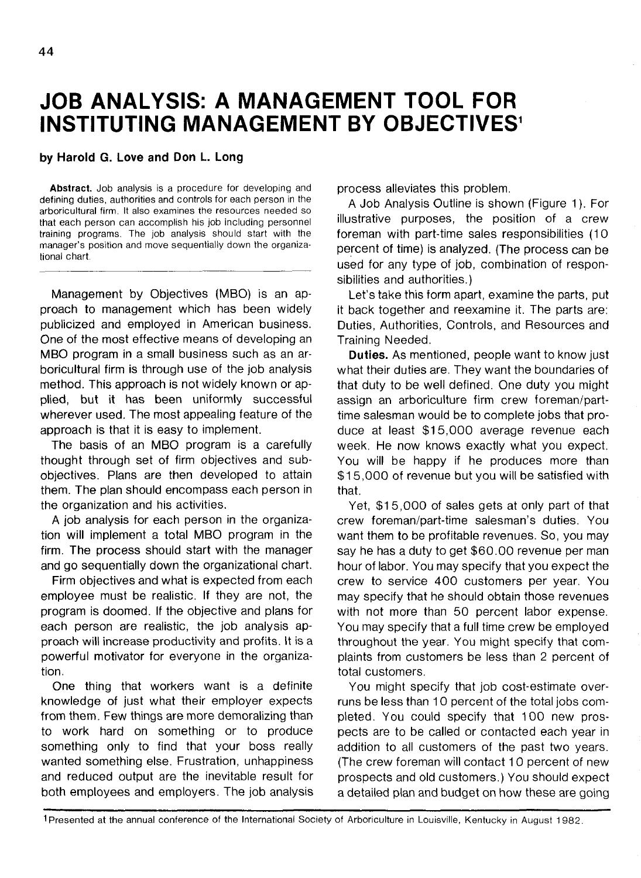# **JOB ANALYSIS: A MANAGEMENT TOOL FOR INSTITUTING MANAGEMENT BY OBJECTIVES<sup>1</sup>**

#### **by Harold G. Love and Don L. Long**

**Abstract.** Job analysis is a procedure for developing and defining duties, authorities and controls for each person in the arboricultural firm. It also examines the resources needed so that each person can accomplish his job including personnel training programs. The job analysis should start with the manager's position and move sequentially down the organizational chart.

Management by Objectives (MBO) is an approach to management which has been widely publicized and employed in American business. One of the most effective means of developing an MBO program in a small business such as an arboricultural firm is through use of the job analysis method. This approach is not widely known or applied, but it has been uniformly successful wherever used. The most appealing feature of the approach is that it is easy to implement.

The basis of an MBO program is a carefully thought through set of firm objectives and subobjectives. Plans are then developed to attain them. The plan should encompass each person in the organization and his activities.

A job analysis for each person in the organization will implement a total MBO program in the firm. The process should start with the manager and go sequentially down the organizational chart.

Firm objectives and what is expected from each employee must be realistic. If they are not, the program is doomed. If the objective and plans for each person are realistic, the job analysis approach will increase productivity and profits. It is a powerful motivator for everyone in the organization.

One thing that workers want is a definite knowledge of just what their employer expects from them. Few things are more demoralizing than to work hard on something or to produce something only to find that your boss really wanted something else. Frustration, unhappiness and reduced output are the inevitable result for both employees and employers. The job analysis process alleviates this problem.

A Job Analysis Outline is shown (Figure 1). For illustrative purposes, the position of a crew foreman with part-time sales responsibilities (10 percent of time) is analyzed. (The process can be used for any type of job, combination of responsibilities and authorities.)

Let's take this form apart, examine the parts, put it back together and reexamine it. The parts are: Duties, Authorities, Controls, and Resources and Training Needed.

**Duties.** As mentioned, people want to know just what their duties are. They want the boundaries of that duty to be well defined. One duty you might assign an arboriculture firm crew foreman/parttime salesman would be to complete jobs that produce at least \$15,000 average revenue each week. He now knows exactly what you expect. You will be happy if he produces more than \$15,000 of revenue but you will be satisfied with that.

Yet, \$15,000 of sales gets at only part of that crew foreman/part-time salesman's duties. You want them to be profitable revenues. So, you may say he has a duty to get \$60.00 revenue per man hour of labor. You may specify that you expect the crew to service 400 customers per year. You may specify that he should obtain those revenues with not more than 50 percent labor expense. You may specify that a full time crew be employed throughout the year. You might specify that complaints from customers be less than 2 percent of total customers.

You might specify that job cost-estimate overruns be less than 10 percent of the total jobs completed. You could specify that 100 new prospects are to be called or contacted each year in addition to all customers of the past two years. (The crew foreman will contact 10 percent of new prospects and old customers.) You should expect a detailed plan and budget on how these are going

1 Presented at the annual conference of the International Society of Arboriculture in Louisville, Kentucky in August 1982.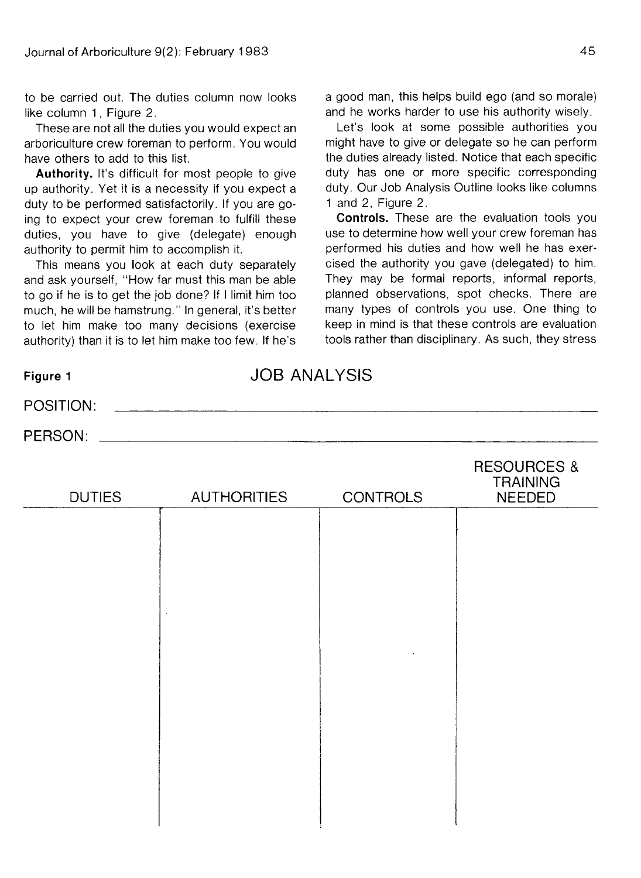to be carried out. The duties column now looks like column 1, Figure 2.

These are not all the duties you would expect an arboriculture crew foreman to perform. You would have others to add to this list.

**Authority.** It's difficult for most people to give up authority. Yet it is a necessity if you expect a duty to be performed satisfactorily. If you are going to expect your crew foreman to fulfill these duties, you have to give (delegate) enough authority to permit him to accomplish it.

This means you look at each duty separately and ask yourself, "How far must this man be able to go if he is to get the job done? If I limit him too much, he will be hamstrung." In general, it's better to let him make too many decisions (exercise authority) than it is to let him make too few. If he's a good man, this helps build ego (and so morale) and he works harder to use his authority wisely.

Let's look at some possible authorities you might have to give or delegate so he can perform the duties already listed. Notice that each specific duty has one or more specific corresponding duty. Our Job Analysis Outline looks like columns 1 and 2, Figure 2.

**Controls.** These are the evaluation tools you use to determine how well your crew foreman has performed his duties and how well he has exercised the authority you gave (delegated) to him. They may be formal reports, informal reports, planned observations, spot checks. There are many types of controls you use. One thing to keep in mind is that these controls are evaluation tools rather than disciplinary. As such, they stress

| Figure 1      | <b>JOB ANALYSIS</b> |                 |                                                            |  |
|---------------|---------------------|-----------------|------------------------------------------------------------|--|
| POSITION:     |                     |                 |                                                            |  |
| PERSON:       |                     |                 |                                                            |  |
| <b>DUTIES</b> | <b>AUTHORITIES</b>  | <b>CONTROLS</b> | <b>RESOURCES &amp;</b><br><b>TRAINING</b><br><b>NEEDED</b> |  |
|               |                     |                 |                                                            |  |
|               |                     |                 |                                                            |  |
|               |                     |                 |                                                            |  |
|               |                     |                 |                                                            |  |
|               |                     |                 |                                                            |  |
|               |                     |                 |                                                            |  |
|               |                     |                 |                                                            |  |
|               |                     |                 |                                                            |  |
|               |                     |                 |                                                            |  |
|               |                     |                 |                                                            |  |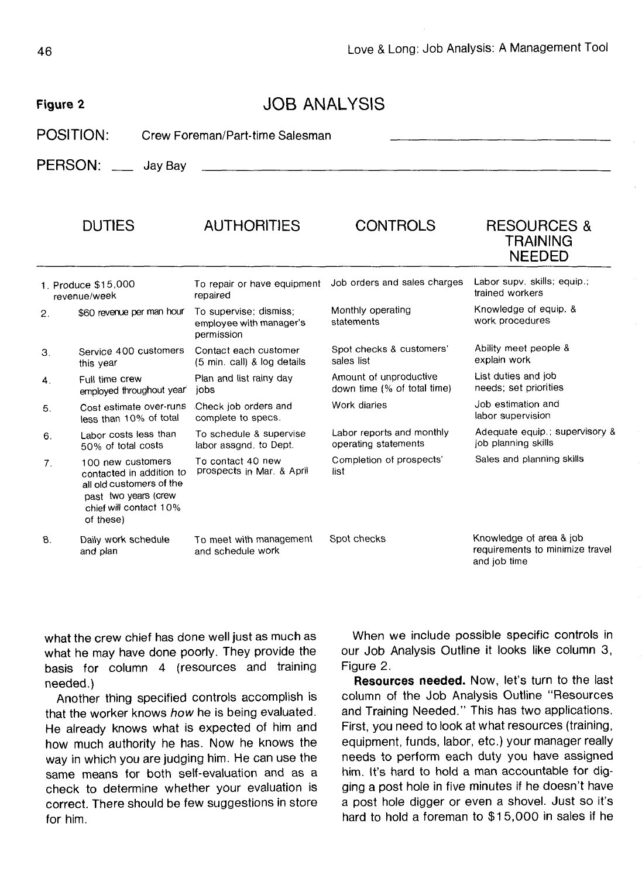## Figure 2 JOB ANALYSIS

POSITION: Crew Foreman/Part-time Salesman

PERSON: Jay Bay

|    | <b>DUTIES</b>                                                                                                                            | <b>AUTHORITIES</b>                                              | <b>CONTROLS</b>                                       | <b>RESOURCES &amp;</b><br>TRAINING<br><b>NEEDED</b>                        |
|----|------------------------------------------------------------------------------------------------------------------------------------------|-----------------------------------------------------------------|-------------------------------------------------------|----------------------------------------------------------------------------|
|    | 1. Produce \$15,000<br>revenue/week                                                                                                      | To repair or have equipment<br>repaired                         | Job orders and sales charges                          | Labor supv. skills, equip.;<br>trained workers                             |
| 2. | \$60 revenue per man hour                                                                                                                | To supervise; dismiss;<br>employee with manager's<br>permission | Monthly operating<br>statements                       | Knowledge of equip. &<br>work procedures                                   |
| 3. | Service 400 customers<br>this year                                                                                                       | Contact each customer<br>(5 min. call) & log details            | Spot checks & customers'<br>sales list                | Ability meet people &<br>explain work                                      |
| 4. | Full time crew<br>employed throughout year                                                                                               | Plan and list rainy day<br>iobs                                 | Amount of unproductive<br>down time (% of total time) | List duties and job<br>needs; set priorities                               |
| 5. | Cost estimate over-runs<br>less than 10% of total                                                                                        | Check job orders and<br>complete to specs.                      | Work diaries                                          | Job estimation and<br>labor supervision                                    |
| 6. | Labor costs less than<br>50% of total costs                                                                                              | To schedule & supervise<br>labor assand, to Dept.               | Labor reports and monthly<br>operating statements     | Adequate equip.; supervisory 8<br>job planning skills                      |
| 7. | 100 new customers<br>contacted in addition to<br>all old customers of the<br>past two years (crew<br>chief will contact 10%<br>of these) | To contact 40 new<br>prospects in Mar. & April                  | Completion of prospects'<br>list                      | Sales and planning skills                                                  |
| 8. | Daily work schedule<br>and plan                                                                                                          | To meet with management<br>and schedule work                    | Spot checks                                           | Knowledge of area & job<br>requirements to minimize travel<br>and job time |

what the crew chief has done well just as much as what he may have done poorly. They provide the basis for column 4 (resources and training needed.)

Another thing specified controls accomplish is that the worker knows how he is being evaluated. He already knows what is expected of him and how much authority he has. Now he knows the way in which you are judging him. He can use the same means for both self-evaluation and as a check to determine whether your evaluation is correct. There should be few suggestions in store for him.

When we include possible specific controls in our Job Analysis Outline it looks like column 3, Figure 2.

**Resources needed.** Now, let's turn to the last column of the Job Analysis Outline "Resources and Training Needed." This has two applications. First, you need to look at what resources (training, equipment, funds, labor, etc.) your manager really needs to perform each duty you have assigned him. It's hard to hold a man accountable for digging a post hole in five minutes if he doesn't have a post hole digger or even a shovel. Just so it's hard to hold a foreman to \$15,000 in sales if he